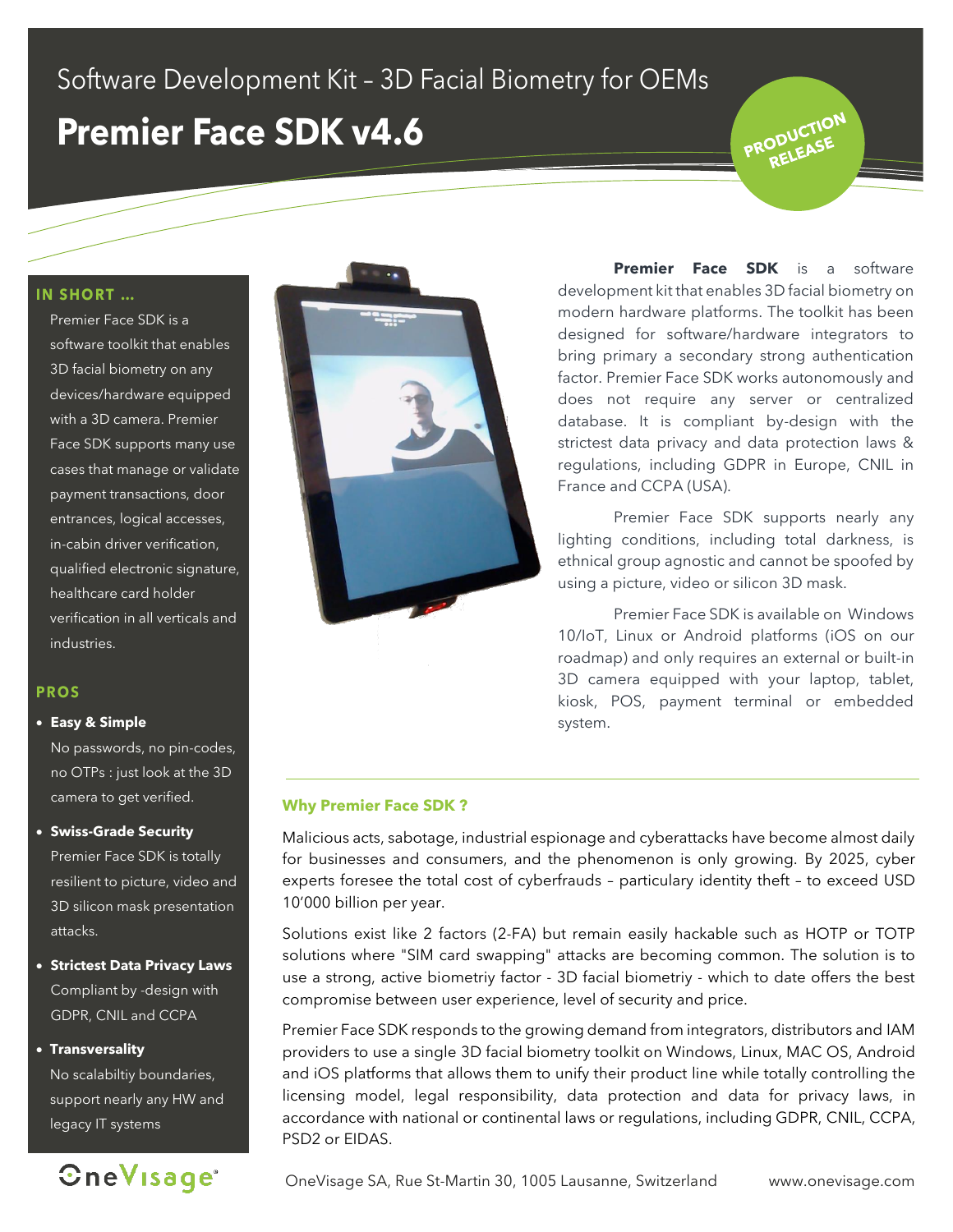## Software Development Kit - 3D Facial Biometry for OEMs

## **Premier Face SDK v4.6**

**IN SHORT ...** 

Premier Face SDK is a software toolkit that enables 3D facial biometry on any devices/hardware equipped with a 3D camera. Premier Face SDK supports many use cases that manage or validate payment transactions, door entrances, logical accesses, in-cabin driver verification, qualified electronic signature, healthcare card holder verification in all verticals and industries.

### **PROS**

#### • **Easy & Simple**

No passwords, no pin-codes, no OTPs : just look at the 3D camera to get verified.

### • **Swiss-Grade Security**

Premier Face SDK is totally resilient to picture, video and 3D silicon mask presentation attacks.

• **Strictest Data Privacy Laws** Compliant by -design with GDPR, CNIL and CCPA

### • **Transversality**

No scalabiltiy boundaries, support nearly any HW and legacy IT systems





**Premier Face SDK** is a software development kit that enables 3D facial biometry on modern hardware platforms. The toolkit has been designed for software/hardware integrators to bring primary a secondary strong authentication factor. Premier Face SDK works autonomously and does not require any server or centralized database. It is compliant by-design with the strictest data privacy and data protection laws & regulations, including GDPR in Europe, CNIL in France and CCPA (USA).

PRODUCTION

Premier Face SDK supports nearly any lighting conditions, including total darkness, is ethnical group agnostic and cannot be spoofed by using a picture, video or silicon 3D mask.

Premier Face SDK is available on Windows 10/IoT, Linux or Android platforms (iOS on our roadmap) and only requires an external or built-in 3D camera equipped with your laptop, tablet, kiosk, POS, payment terminal or embedded system.

### **Why Premier Face SDK ?**

Malicious acts, sabotage, industrial espionage and cyberattacks have become almost daily for businesses and consumers, and the phenomenon is only growing. By 2025, cyber experts foresee the total cost of cyberfrauds – particulary identity theft – to exceed USD 10'000 billion per year.

Solutions exist like 2 factors (2-FA) but remain easily hackable such as HOTP or TOTP solutions where "SIM card swapping" attacks are becoming common. The solution is to use a strong, active biometriy factor - 3D facial biometriy - which to date offers the best compromise between user experience, level of security and price.

Premier Face SDK responds to the growing demand from integrators, distributors and IAM providers to use a single 3D facial biometry toolkit on Windows, Linux, MAC OS, Android and iOS platforms that allows them to unify their product line while totally controlling the licensing model, legal responsibility, data protection and data for privacy laws, in accordance with national or continental laws or regulations, including GDPR, CNIL, CCPA, PSD2 or EIDAS.